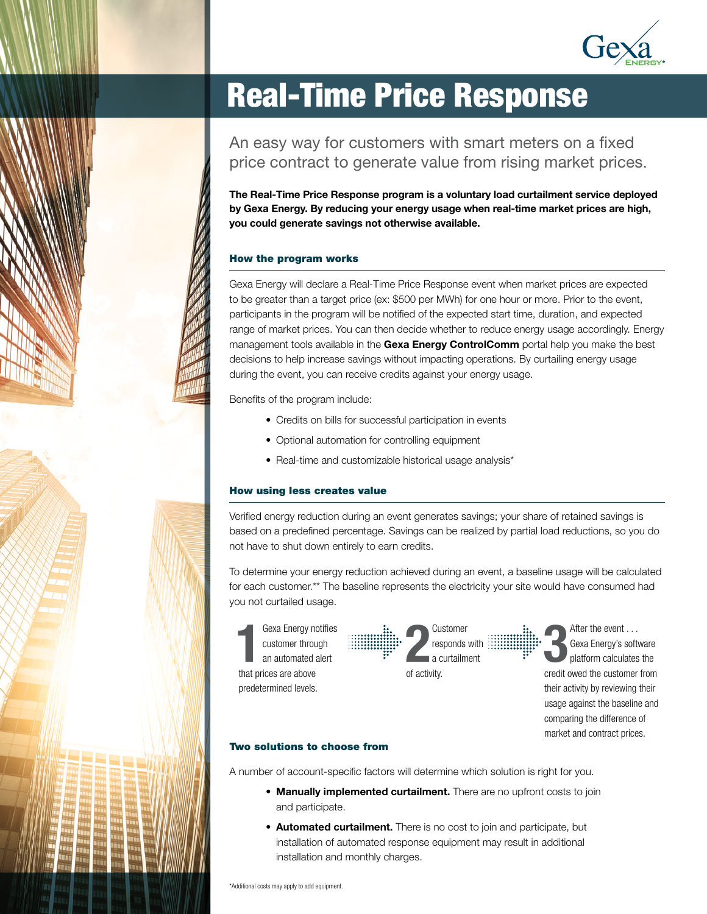

# Real-Time Price Response

An easy way for customers with smart meters on a fixed price contract to generate value from rising market prices.

The Real-Time Price Response program is a voluntary load curtailment service deployed by Gexa Energy. By reducing your energy usage when real-time market prices are high, you could generate savings not otherwise available.

#### How the program works

Gexa Energy will declare a Real-Time Price Response event when market prices are expected to be greater than a target price (ex: \$500 per MWh) for one hour or more. Prior to the event, participants in the program will be notified of the expected start time, duration, and expected range of market prices. You can then decide whether to reduce energy usage accordingly. Energy management tools available in the Gexa Energy ControlComm portal help you make the best decisions to help increase savings without impacting operations. By curtailing energy usage during the event, you can receive credits against your energy usage.

Benefits of the program include:

- Credits on bills for successful participation in events
- Optional automation for controlling equipment
- Real-time and customizable historical usage analysis\*

#### How using less creates value

Verified energy reduction during an event generates savings; your share of retained savings is based on a predefined percentage. Savings can be realized by partial load reductions, so you do not have to shut down entirely to earn credits.

To determine your energy reduction achieved during an event, a baseline usage will be calculated for each customer.\*\* The baseline represents the electricity your site would have consumed had you not curtailed usage.

1 Gexa Energy notifies customer through an automated alert that prices are above predetermined levels.



3

After the event . . . Gexa Energy's software platform calculates the credit owed the customer from their activity by reviewing their usage against the baseline and comparing the difference of market and contract prices.

#### Two solutions to choose from

A number of account-specific factors will determine which solution is right for you.

- Manually implemented curtailment. There are no upfront costs to join and participate.
- Automated curtailment. There is no cost to join and participate, but installation of automated response equipment may result in additional installation and monthly charges.

\*Additional costs may apply to add equipment.